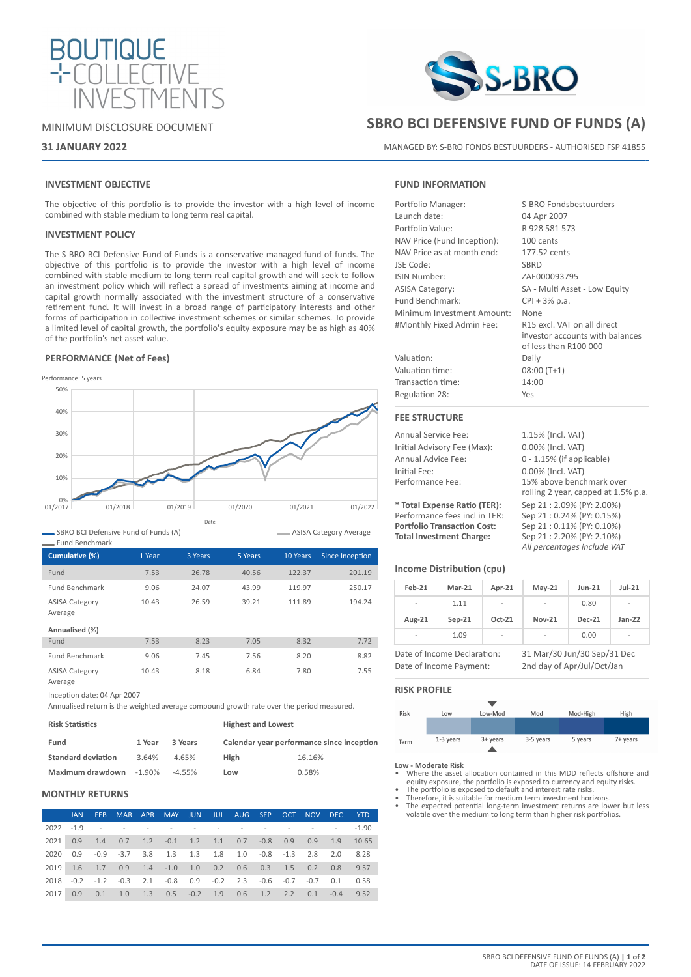



# **31 JANUARY 2022**

# **INVESTMENT OBJECTIVE**

The objective of this portfolio is to provide the investor with a high level of income combined with stable medium to long term real capital.

## **INVESTMENT POLICY**

The S-BRO BCI Defensive Fund of Funds is a conservative managed fund of funds. The objective of this portfolio is to provide the investor with a high level of income combined with stable medium to long term real capital growth and will seek to follow an investment policy which will reflect a spread of investments aiming at income and capital growth normally associated with the investment structure of a conservative retirement fund. It will invest in a broad range of participatory interests and other forms of participation in collective investment schemes or similar schemes. To provide a limited level of capital growth, the portfolio's equity exposure may be as high as 40% of the portfolio's net asset value.

## **PERFORMANCE (Net of Fees)**



SBRO BCI Defensive Fund of Funds (A)

| ASISA Category Average |  |
|------------------------|--|
|                        |  |

| <b>Fund Benchmark</b>            |        |         |         |          |                 |
|----------------------------------|--------|---------|---------|----------|-----------------|
| Cumulative (%)                   | 1 Year | 3 Years | 5 Years | 10 Years | Since Inception |
| Fund                             | 7.53   | 26.78   | 40.56   | 122.37   | 201.19          |
| <b>Fund Benchmark</b>            | 9.06   | 24.07   | 43.99   | 119.97   | 250.17          |
| <b>ASISA Category</b><br>Average | 10.43  | 26.59   | 39.21   | 111.89   | 194.24          |
| Annualised (%)                   |        |         |         |          |                 |
| Fund                             | 7.53   | 8.23    | 7.05    | 8.32     | 7.72            |
| <b>Fund Benchmark</b>            | 9.06   | 7.45    | 7.56    | 8.20     | 8.82            |
| <b>ASISA Category</b><br>Average | 10.43  | 8.18    | 6.84    | 7.80     | 7.55            |

Inception date: 04 Apr 2007

Annualised return is the weighted average compound growth rate over the period measured.

| <b>Risk Statistics</b>    |           |           | <b>Highest and Lowest</b> |                                           |  |  |
|---------------------------|-----------|-----------|---------------------------|-------------------------------------------|--|--|
| Fund                      | 1 Year    | 3 Years   |                           | Calendar year performance since inception |  |  |
| <b>Standard deviation</b> | 3.64%     | 4.65%     | <b>High</b>               | 16.16%                                    |  |  |
| Maximum drawdown          | $-1.90\%$ | $-4.55\%$ | Low                       | 0.58%                                     |  |  |

# **MONTHLY RETURNS**

|      | <b>JAN</b> | FEB. |                                                                   | MAR APR MAY JUN JUL AUG SEP OCT NOV DEC YTD |  |  |  |      |
|------|------------|------|-------------------------------------------------------------------|---------------------------------------------|--|--|--|------|
|      |            |      | $2022 - 19$ - - - - - - - - - - - - - 190                         |                                             |  |  |  |      |
| 2021 |            |      | 0.9 1.4 0.7 1.2 -0.1 1.2 1.1 0.7 -0.8 0.9 0.9 1.9 10.65           |                                             |  |  |  |      |
| 2020 |            |      | 0.9 -0.9 -3.7 3.8 1.3 1.3 1.8 1.0 -0.8 -1.3 2.8 2.0 8.28          |                                             |  |  |  |      |
| 2019 |            |      | 1.6 1.7 0.9 1.4 -1.0 1.0 0.2 0.6 0.3 1.5 0.2 0.8 9.57             |                                             |  |  |  |      |
|      |            |      | 2018 -0.2 -1.2 -0.3 2.1 -0.8 0.9 -0.2 2.3 -0.6 -0.7 -0.7 0.1 0.58 |                                             |  |  |  |      |
| 2017 | 0.9        |      | $0.1$ 1.0 1.3 0.5 -0.2 1.9 0.6 1.2 2.2 0.1 -0.4                   |                                             |  |  |  | 9.52 |



# **SBRO BCI DEFENSIVE FUND OF FUNDS (A)**

MANAGED BY: S-BRO FONDS BESTUURDERS - AUTHORISED FSP 41855

## **FUND INFORMATION**

| Portfolio Manager:          | S-BRO Fondsbestuurders                                                                  |
|-----------------------------|-----------------------------------------------------------------------------------------|
| Launch date:                | 04 Apr 2007                                                                             |
| Portfolio Value:            | R 928 581 573                                                                           |
| NAV Price (Fund Inception): | 100 cents                                                                               |
| NAV Price as at month end:  | 177.52 cents                                                                            |
| JSE Code:                   | SBRD                                                                                    |
| <b>ISIN Number:</b>         | ZAE000093795                                                                            |
| <b>ASISA Category:</b>      | SA - Multi Asset - Low Equity                                                           |
| Fund Benchmark:             | $CPI + 3% p.a.$                                                                         |
| Minimum Investment Amount:  | None                                                                                    |
| #Monthly Fixed Admin Fee:   | R15 excl. VAT on all direct<br>investor accounts with balances<br>of less than R100 000 |
| Valuation:                  | Daily                                                                                   |
| Valuation time:             | $08:00(T+1)$                                                                            |
| Transaction time:           | 14:00                                                                                   |
| Regulation 28:              | Yes                                                                                     |
| <b>FEE STRUCTURE</b>        |                                                                                         |

Annual Service Fee: 1.15% (Incl. VAT) Initial Advisory Fee (Max): 0.00% (Incl. VAT) Annual Advice Fee: 0 - 1.15% (if applicable) Initial Fee: 0.00% (Incl. VAT)<br>
Performance Fee: 15% above bench

**\* Total Expense Ratio (TER):** Sep 21 : 2.09% (PY: 2.00%) Performance fees incl in TER:<br>**Portfolio Transaction Cost: Total Investment Charge:** Sep 21 : 2.20% (PY: 2.10%)

## **Income Distribution (cpu)**

| $Feb-21$                                                   | $Mar-21$ | Apr-21   | $May-21$      | <b>Jun-21</b> | $Jul-21$                 |
|------------------------------------------------------------|----------|----------|---------------|---------------|--------------------------|
| $\overline{\phantom{a}}$                                   | 1.11     |          |               | 0.80          | $\overline{\phantom{a}}$ |
| Aug-21                                                     | $Sep-21$ | $Oct-21$ | <b>Nov-21</b> | Dec-21        | $Jan-22$                 |
| -                                                          | 1.09     | ٠        |               | 0.00          | -                        |
| 31 Mar/30 Jun/30 Sep/31 Dec<br>Date of Income Declaration: |          |          |               |               |                          |

15% above benchmark over rolling 2 year, capped at 1.5% p.a.

**Portfolio Transaction Cost:** Sep 21 : 0.11% (PY: 0.10%)

*All percentages include VAT*

Date of Income Payment: 2nd day of Apr/Jul/Oct/Jan

## **RISK PROFILE**

| <b>Risk</b> | Low         | Low-Mod    | Mod       | Mod-High | High     |
|-------------|-------------|------------|-----------|----------|----------|
|             |             |            |           |          |          |
| Term        | $1-3$ years | $3+$ years | 3-5 years | 5 years  | 7+ years |

#### **Low - Moderate Risk**

- Where the asset allocation contained in this MDD reflects offshore and equity exposure, the portfolio is exposed to currency and equity risks.
- The portfolio is exposed to default and interest rate risks. Therefore, it is suitable for medium term investment horizons.
- The expected potential long-term investment returns are lower but less volatile over the medium to long term than higher risk portfolios.